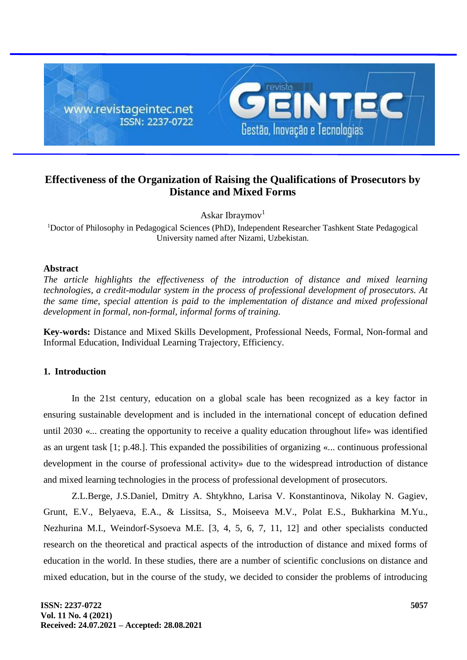

# **Effectiveness of the Organization of Raising the Qualifications of Prosecutors by Distance and Mixed Forms**

Askar Ibraymov<sup>1</sup>

<sup>1</sup>Doctor of Philosophy in Pedagogical Sciences (PhD), Independent Researcher Tashkent State Pedagogical University named after Nizami, Uzbekistan.

#### **Abstract**

*The article highlights the effectiveness of the introduction of distance and mixed learning technologies, a credit-modular system in the process of professional development of prosecutors. At the same time, special attention is paid to the implementation of distance and mixed professional development in formal, non-formal, informal forms of training.*

**Key-words:** Distance and Mixed Skills Development, Professional Needs, Formal, Non-formal and Informal Education, Individual Learning Trajectory, Efficiency.

# **1. Introduction**

In the 21st century, education on a global scale has been recognized as a key factor in ensuring sustainable development and is included in the international concept of education defined until 2030 «... creating the opportunity to receive a quality education throughout life» was identified as an urgent task [1; p.48.]. This expanded the possibilities of organizing «... continuous professional development in the course of professional activity» due to the widespread introduction of distance and mixed learning technologies in the process of professional development of prosecutors.

Z.L.Berge, J.S.Daniel, Dmitry A. Shtykhno, Larisa V. Konstantinova, Nikolay N. Gagiev, Grunt, E.V., Belyaeva, E.A., & Lissitsa, S., Moiseeva M.V., Polat E.S., Bukharkina M.Yu., Nezhurina M.I., Weindorf-Sysoeva M.E. [3, 4, 5, 6, 7, 11, 12] and other specialists conducted research on the theoretical and practical aspects of the introduction of distance and mixed forms of education in the world. In these studies, there are a number of scientific conclusions on distance and mixed education, but in the course of the study, we decided to consider the problems of introducing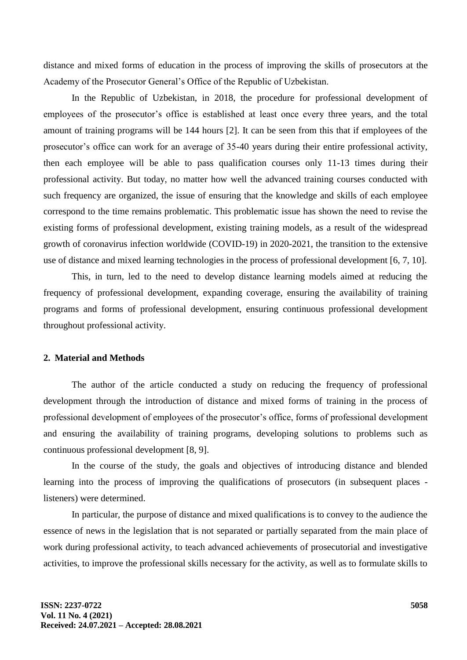distance and mixed forms of education in the process of improving the skills of prosecutors at the Academy of the Prosecutor General's Office of the Republic of Uzbekistan.

In the Republic of Uzbekistan, in 2018, the procedure for professional development of employees of the prosecutor's office is established at least once every three years, and the total amount of training programs will be 144 hours [2]. It can be seen from this that if employees of the prosecutor's office can work for an average of 35-40 years during their entire professional activity, then each employee will be able to pass qualification courses only 11-13 times during their professional activity. But today, no matter how well the advanced training courses conducted with such frequency are organized, the issue of ensuring that the knowledge and skills of each employee correspond to the time remains problematic. This problematic issue has shown the need to revise the existing forms of professional development, existing training models, as a result of the widespread growth of coronavirus infection worldwide (COVID-19) in 2020-2021, the transition to the extensive use of distance and mixed learning technologies in the process of professional development [6, 7, 10].

This, in turn, led to the need to develop distance learning models aimed at reducing the frequency of professional development, expanding coverage, ensuring the availability of training programs and forms of professional development, ensuring continuous professional development throughout professional activity.

# **2. Material and Methods**

The author of the article conducted a study on reducing the frequency of professional development through the introduction of distance and mixed forms of training in the process of professional development of employees of the prosecutor's office, forms of professional development and ensuring the availability of training programs, developing solutions to problems such as continuous professional development [8, 9].

In the course of the study, the goals and objectives of introducing distance and blended learning into the process of improving the qualifications of prosecutors (in subsequent places listeners) were determined.

In particular, the purpose of distance and mixed qualifications is to convey to the audience the essence of news in the legislation that is not separated or partially separated from the main place of work during professional activity, to teach advanced achievements of prosecutorial and investigative activities, to improve the professional skills necessary for the activity, as well as to formulate skills to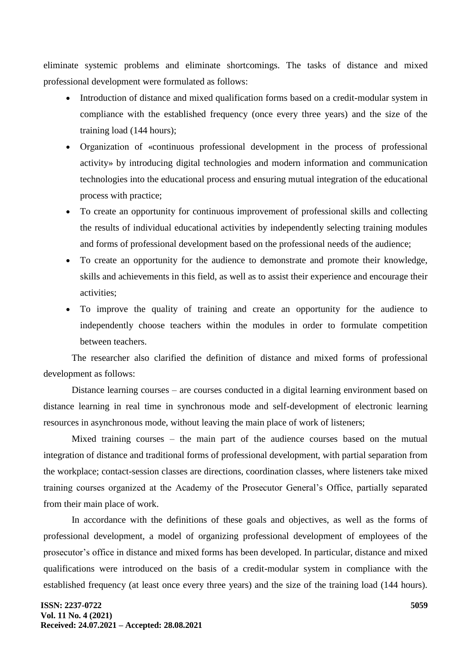eliminate systemic problems and eliminate shortcomings. The tasks of distance and mixed professional development were formulated as follows:

- Introduction of distance and mixed qualification forms based on a credit-modular system in compliance with the established frequency (once every three years) and the size of the training load (144 hours);
- Оrganization of «continuous professional development in the process of professional activity» by introducing digital technologies and modern information and communication technologies into the educational process and ensuring mutual integration of the educational process with practice;
- To create an opportunity for continuous improvement of professional skills and collecting the results of individual educational activities by independently selecting training modules and forms of professional development based on the professional needs of the audience;
- To create an opportunity for the audience to demonstrate and promote their knowledge, skills and achievements in this field, as well as to assist their experience and encourage their activities;
- To improve the quality of training and create an opportunity for the audience to independently choose teachers within the modules in order to formulate competition between teachers.

The researcher also clarified the definition of distance and mixed forms of professional development as follows:

Distance learning courses – are courses conducted in a digital learning environment based on distance learning in real time in synchronous mode and self-development of electronic learning resources in asynchronous mode, without leaving the main place of work of listeners;

Mixed training courses – the main part of the audience courses based on the mutual integration of distance and traditional forms of professional development, with partial separation from the workplace; contact-session classes are directions, coordination classes, where listeners take mixed training courses organized at the Academy of the Prosecutor General's Office, partially separated from their main place of work.

In accordance with the definitions of these goals and objectives, as well as the forms of professional development, a model of organizing professional development of employees of the prosecutor's office in distance and mixed forms has been developed. In particular, distance and mixed qualifications were introduced on the basis of a credit-modular system in compliance with the established frequency (at least once every three years) and the size of the training load (144 hours).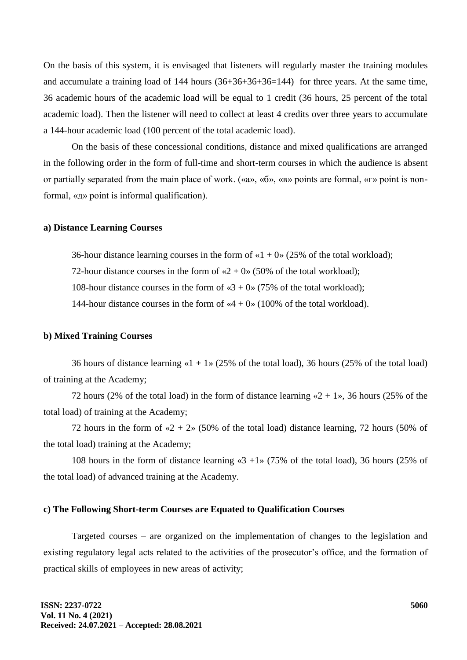On the basis of this system, it is envisaged that listeners will regularly master the training modules and accumulate a training load of  $144$  hours  $(36+36+36+36=144)$  for three years. At the same time, 36 academic hours of the academic load will be equal to 1 credit (36 hours, 25 percent of the total academic load). Then the listener will need to collect at least 4 credits over three years to accumulate a 144-hour academic load (100 percent of the total academic load).

On the basis of these concessional conditions, distance and mixed qualifications are arranged in the following order in the form of full-time and short-term courses in which the audience is absent or partially separated from the main place of work. («а», «б», «в» points are formal, «г» point is nonformal, «д» point is informal qualification).

#### **a) Distance Learning Courses**

36-hour distance learning courses in the form of  $\ll 1 + 0$  (25% of the total workload);

72-hour distance courses in the form of  $\alpha$ 2 + 0» (50% of the total workload);

108-hour distance courses in the form of  $\langle 3 + 0 \rangle$  (75% of the total workload);

144-hour distance courses in the form of  $\alpha$ 4 + 0» (100% of the total workload).

#### **b) Mixed Training Courses**

36 hours of distance learning  $\ll 1 + 1$   $\approx$  (25% of the total load), 36 hours (25% of the total load) of training at the Academy;

72 hours (2% of the total load) in the form of distance learning  $\alpha$ 2 + 1», 36 hours (25% of the total load) of training at the Academy;

72 hours in the form of  $\ll 2 + 2$ » (50% of the total load) distance learning, 72 hours (50% of the total load) training at the Academy;

108 hours in the form of distance learning  $\ll 3 + 1$  (75% of the total load), 36 hours (25% of the total load) of advanced training at the Academy.

#### **c) The Following Short-term Courses are Equated to Qualification Courses**

Targeted courses – are organized on the implementation of changes to the legislation and existing regulatory legal acts related to the activities of the prosecutor's office, and the formation of practical skills of employees in new areas of activity;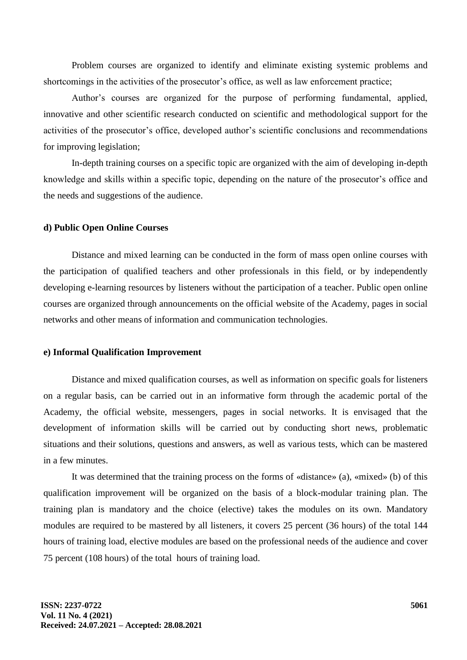Problem courses are organized to identify and eliminate existing systemic problems and shortcomings in the activities of the prosecutor's office, as well as law enforcement practice;

Author's courses are organized for the purpose of performing fundamental, applied, innovative and other scientific research conducted on scientific and methodological support for the activities of the prosecutor's office, developed author's scientific conclusions and recommendations for improving legislation;

In-depth training courses on a specific topic are organized with the aim of developing in-depth knowledge and skills within a specific topic, depending on the nature of the prosecutor's office and the needs and suggestions of the audience.

# **d) Public Open Online Courses**

Distance and mixed learning can be conducted in the form of mass open online courses with the participation of qualified teachers and other professionals in this field, or by independently developing e-learning resources by listeners without the participation of a teacher. Public open online courses are organized through announcements on the official website of the Academy, pages in social networks and other means of information and communication technologies.

### **e) Informal Qualification Improvement**

Distance and mixed qualification courses, as well as information on specific goals for listeners on a regular basis, can be carried out in an informative form through the academic portal of the Academy, the official website, messengers, pages in social networks. It is envisaged that the development of information skills will be carried out by conducting short news, problematic situations and their solutions, questions and answers, as well as various tests, which can be mastered in a few minutes.

It was determined that the training process on the forms of «distance» (a), «mixed» (b) of this qualification improvement will be organized on the basis of a block-modular training plan. The training plan is mandatory and the choice (elective) takes the modules on its own. Mandatory modules are required to be mastered by all listeners, it covers 25 percent (36 hours) of the total 144 hours of training load, elective modules are based on the professional needs of the audience and cover 75 percent (108 hours) of the total hours of training load.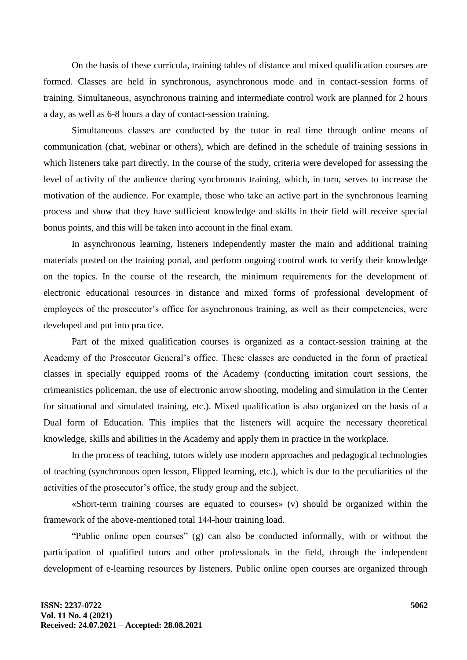On the basis of these curricula, training tables of distance and mixed qualification courses are formed. Classes are held in synchronous, asynchronous mode and in contact-session forms of training. Simultaneous, asynchronous training and intermediate control work are planned for 2 hours a day, as well as 6-8 hours a day of contact-session training.

Simultaneous classes are conducted by the tutor in real time through online means of communication (chat, webinar or others), which are defined in the schedule of training sessions in which listeners take part directly. In the course of the study, criteria were developed for assessing the level of activity of the audience during synchronous training, which, in turn, serves to increase the motivation of the audience. For example, those who take an active part in the synchronous learning process and show that they have sufficient knowledge and skills in their field will receive special bonus points, and this will be taken into account in the final exam.

In asynchronous learning, listeners independently master the main and additional training materials posted on the training portal, and perform ongoing control work to verify their knowledge on the topics. In the course of the research, the minimum requirements for the development of electronic educational resources in distance and mixed forms of professional development of employees of the prosecutor's office for asynchronous training, as well as their competencies, were developed and put into practice.

Part of the mixed qualification courses is organized as a contact-session training at the Academy of the Prosecutor General's office. These classes are conducted in the form of practical classes in specially equipped rooms of the Academy (conducting imitation court sessions, the crimeanistics policeman, the use of electronic arrow shooting, modeling and simulation in the Center for situational and simulated training, etc.). Mixed qualification is also organized on the basis of a Dual form of Education. This implies that the listeners will acquire the necessary theoretical knowledge, skills and abilities in the Academy and apply them in practice in the workplace.

In the process of teaching, tutors widely use modern approaches and pedagogical technologies of teaching (synchronous open lesson, Flipped learning, etc.), which is due to the peculiarities of the activities of the prosecutor's office, the study group and the subject.

«Short-term training courses are equated to courses» (v) should be organized within the framework of the above-mentioned total 144-hour training load.

"Public online open courses" (g) can also be conducted informally, with or without the participation of qualified tutors and other professionals in the field, through the independent development of e-learning resources by listeners. Public online open courses are organized through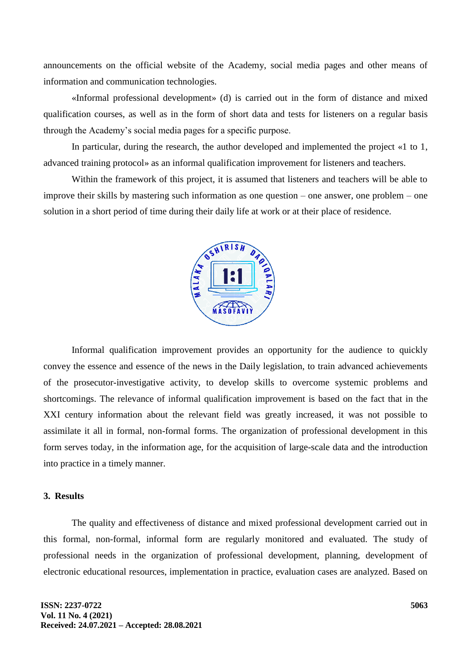announcements on the official website of the Academy, social media pages and other means of information and communication technologies.

«Informal professional development» (d) is carried out in the form of distance and mixed qualification courses, as well as in the form of short data and tests for listeners on a regular basis through the Academy's social media pages for a specific purpose.

In particular, during the research, the author developed and implemented the project «1 to 1, advanced training protocol» as an informal qualification improvement for listeners and teachers.

Within the framework of this project, it is assumed that listeners and teachers will be able to improve their skills by mastering such information as one question – one answer, one problem – one solution in a short period of time during their daily life at work or at their place of residence.



Informal qualification improvement provides an opportunity for the audience to quickly convey the essence and essence of the news in the Daily legislation, to train advanced achievements of the prosecutor-investigative activity, to develop skills to overcome systemic problems and shortcomings. The relevance of informal qualification improvement is based on the fact that in the XXI century information about the relevant field was greatly increased, it was not possible to assimilate it all in formal, non-formal forms. The organization of professional development in this form serves today, in the information age, for the acquisition of large-scale data and the introduction into practice in a timely manner.

### **3. Results**

The quality and effectiveness of distance and mixed professional development carried out in this formal, non-formal, informal form are regularly monitored and evaluated. The study of professional needs in the organization of professional development, planning, development of electronic educational resources, implementation in practice, evaluation cases are analyzed. Based on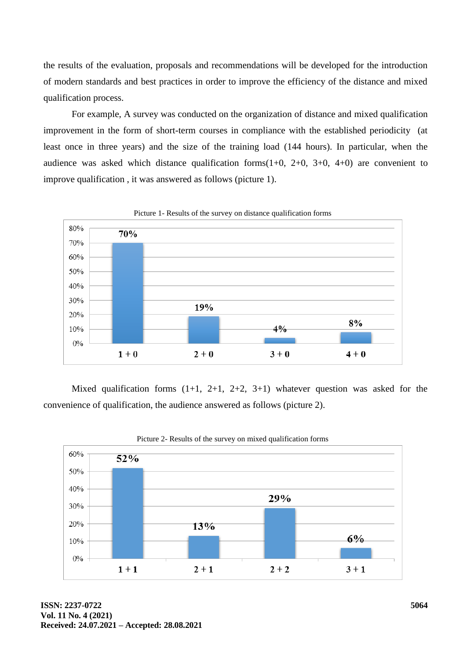the results of the evaluation, proposals and recommendations will be developed for the introduction of modern standards and best practices in order to improve the efficiency of the distance and mixed qualification process.

For example, A survey was conducted on the organization of distance and mixed qualification improvement in the form of short-term courses in compliance with the established periodicity (at least once in three years) and the size of the training load (144 hours). In particular, when the audience was asked which distance qualification forms $(1+0, 2+0, 3+0, 4+0)$  are convenient to improve qualification , it was answered as follows (picture 1).



Mixed qualification forms  $(1+1, 2+1, 2+2, 3+1)$  whatever question was asked for the convenience of qualification, the audience answered as follows (picture 2).



Picture 2- Results of the survey on mixed qualification forms

**ISSN: 2237-0722 Vol. 11 No. 4 (2021) Received: 24.07.2021 – Accepted: 28.08.2021**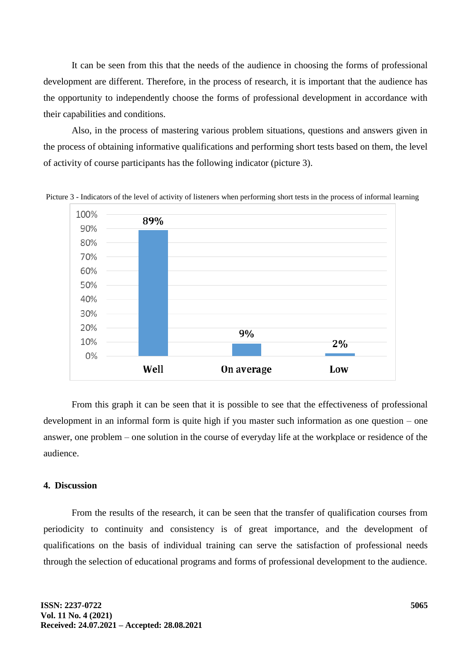It can be seen from this that the needs of the audience in choosing the forms of professional development are different. Therefore, in the process of research, it is important that the audience has the opportunity to independently choose the forms of professional development in accordance with their capabilities and conditions.

Also, in the process of mastering various problem situations, questions and answers given in the process of obtaining informative qualifications and performing short tests based on them, the level of activity of course participants has the following indicator (picture 3).



Picture 3 - Indicators of the level of activity of listeners when performing short tests in the process of informal learning

From this graph it can be seen that it is possible to see that the effectiveness of professional development in an informal form is quite high if you master such information as one question – one answer, one problem – one solution in the course of everyday life at the workplace or residence of the audience.

# **4. Discussion**

From the results of the research, it can be seen that the transfer of qualification courses from periodicity to continuity and consistency is of great importance, and the development of qualifications on the basis of individual training can serve the satisfaction of professional needs through the selection of educational programs and forms of professional development to the audience.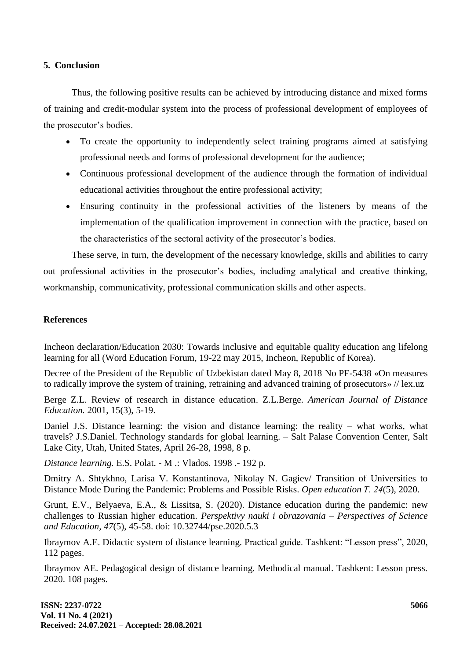### **5. Conclusion**

Thus, the following positive results can be achieved by introducing distance and mixed forms of training and credit-modular system into the process of professional development of employees of the prosecutor's bodies.

- To create the opportunity to independently select training programs aimed at satisfying professional needs and forms of professional development for the audience;
- Continuous professional development of the audience through the formation of individual educational activities throughout the entire professional activity;
- Ensuring continuity in the professional activities of the listeners by means of the implementation of the qualification improvement in connection with the practice, based on the characteristics of the sectoral activity of the prosecutor's bodies.

These serve, in turn, the development of the necessary knowledge, skills and abilities to carry out professional activities in the prosecutor's bodies, including analytical and creative thinking, workmanship, communicativity, professional communication skills and other aspects.

### **References**

Incheon declaration/Education 2030: Towards inclusive and equitable quality education ang lifelong learning for all (Word Education Forum, 19-22 may 2015, Incheon, Republic of Korea).

Decree of the President of the Republic of Uzbekistan dated May 8, 2018 No PF-5438 «On measures to radically improve the system of training, retraining and advanced training of prosecutors» // lex.uz

Berge Z.L. Review of research in distance education. Z.L.Berge. *American Journal of Distance Education.* 2001, 15(3), 5-19.

Daniel J.S. Distance learning: the vision and distance learning: the reality – what works, what travels? J.S.Daniel. Technology standards for global learning. – Salt Palase Convention Center, Salt Lake City, Utah, United States, April 26-28, 1998, 8 p.

*Distance learning.* E.S. Polat. - M .: Vlados. 1998 .- 192 p.

Dmitry A. Shtykhno, Larisa V. Konstantinova, Nikolay N. Gagiev/ Transition of Universities to Distance Mode During the Pandemic: Problems and Possible Risks. *Open education Т. 24*(5), 2020.

Grunt, E.V., Belyaeva, E.A., & Lissitsa, S. (2020). Distance education during the pandemic: new challenges to Russian higher education. *Perspektivy nauki i obrazovania – Perspectives of Science and Education, 47*(5), 45-58. doi: 10.32744/pse.2020.5.3

Ibraymov A.E. Didactic system of distance learning. Practical guide. Tashkent: "Lesson press", 2020, 112 pages.

Ibraymov AE. Pedagogical design of distance learning. Methodical manual. Tashkent: Lesson press. 2020. 108 pages.